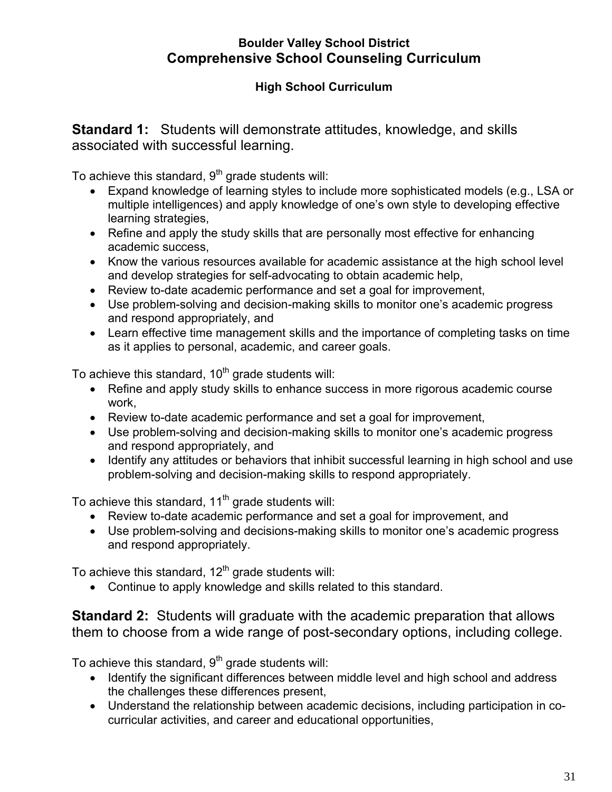## **Boulder Valley School District Comprehensive School Counseling Curriculum**

## **High School Curriculum**

**Standard 1:** Students will demonstrate attitudes, knowledge, and skills associated with successful learning.

To achieve this standard,  $9<sup>th</sup>$  grade students will:

- Expand knowledge of learning styles to include more sophisticated models (e.g., LSA or multiple intelligences) and apply knowledge of one's own style to developing effective learning strategies,
- Refine and apply the study skills that are personally most effective for enhancing academic success,
- Know the various resources available for academic assistance at the high school level and develop strategies for self-advocating to obtain academic help,
- Review to-date academic performance and set a goal for improvement,
- Use problem-solving and decision-making skills to monitor one's academic progress and respond appropriately, and
- Learn effective time management skills and the importance of completing tasks on time as it applies to personal, academic, and career goals.

To achieve this standard,  $10<sup>th</sup>$  grade students will:

- Refine and apply study skills to enhance success in more rigorous academic course work,
- Review to-date academic performance and set a goal for improvement,
- Use problem-solving and decision-making skills to monitor one's academic progress and respond appropriately, and
- Identify any attitudes or behaviors that inhibit successful learning in high school and use problem-solving and decision-making skills to respond appropriately.

To achieve this standard,  $11<sup>th</sup>$  grade students will:

- Review to-date academic performance and set a goal for improvement, and
- Use problem-solving and decisions-making skills to monitor one's academic progress and respond appropriately.

To achieve this standard,  $12<sup>th</sup>$  grade students will:

Continue to apply knowledge and skills related to this standard.

**Standard 2:** Students will graduate with the academic preparation that allows them to choose from a wide range of post-secondary options, including college.

To achieve this standard,  $9<sup>th</sup>$  grade students will:

- Identify the significant differences between middle level and high school and address the challenges these differences present,
- Understand the relationship between academic decisions, including participation in cocurricular activities, and career and educational opportunities,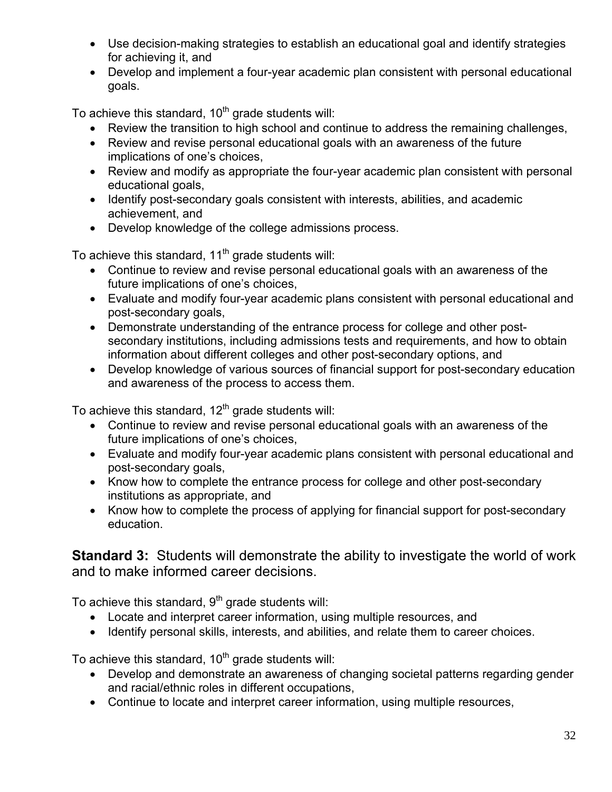- Use decision-making strategies to establish an educational goal and identify strategies for achieving it, and
- Develop and implement a four-year academic plan consistent with personal educational goals.

To achieve this standard,  $10<sup>th</sup>$  grade students will:

- Review the transition to high school and continue to address the remaining challenges,
- Review and revise personal educational goals with an awareness of the future implications of one's choices,
- Review and modify as appropriate the four-year academic plan consistent with personal educational goals,
- Identify post-secondary goals consistent with interests, abilities, and academic achievement, and
- Develop knowledge of the college admissions process.

To achieve this standard,  $11<sup>th</sup>$  grade students will:

- Continue to review and revise personal educational goals with an awareness of the future implications of one's choices,
- Evaluate and modify four-year academic plans consistent with personal educational and post-secondary goals,
- Demonstrate understanding of the entrance process for college and other postsecondary institutions, including admissions tests and requirements, and how to obtain information about different colleges and other post-secondary options, and
- Develop knowledge of various sources of financial support for post-secondary education and awareness of the process to access them.

To achieve this standard,  $12<sup>th</sup>$  grade students will:

- Continue to review and revise personal educational goals with an awareness of the future implications of one's choices,
- Evaluate and modify four-year academic plans consistent with personal educational and post-secondary goals,
- Know how to complete the entrance process for college and other post-secondary institutions as appropriate, and
- Know how to complete the process of applying for financial support for post-secondary education.

**Standard 3:** Students will demonstrate the ability to investigate the world of work and to make informed career decisions.

To achieve this standard,  $9<sup>th</sup>$  grade students will:

- Locate and interpret career information, using multiple resources, and
- Identify personal skills, interests, and abilities, and relate them to career choices.

To achieve this standard,  $10<sup>th</sup>$  grade students will:

- Develop and demonstrate an awareness of changing societal patterns regarding gender and racial/ethnic roles in different occupations,
- Continue to locate and interpret career information, using multiple resources,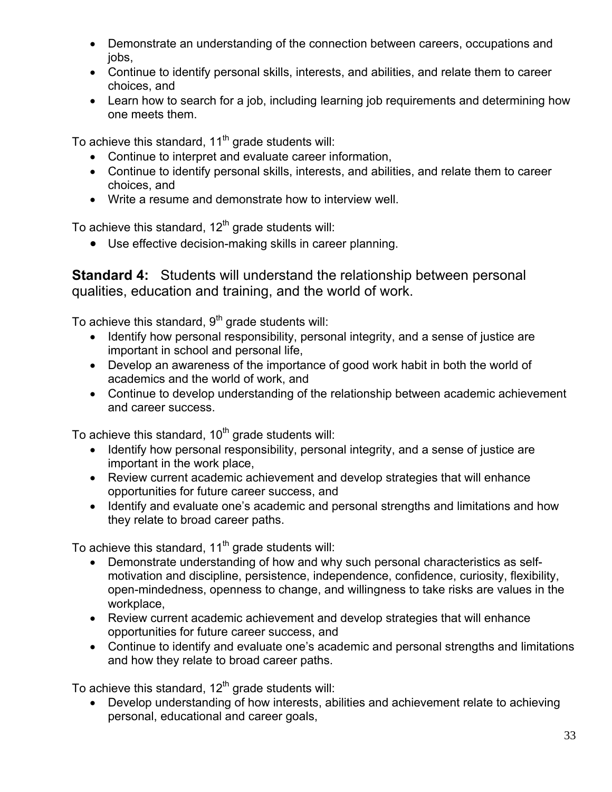- Demonstrate an understanding of the connection between careers, occupations and jobs,
- Continue to identify personal skills, interests, and abilities, and relate them to career choices, and
- Learn how to search for a job, including learning job requirements and determining how one meets them.

To achieve this standard,  $11<sup>th</sup>$  grade students will:

- Continue to interpret and evaluate career information,
- Continue to identify personal skills, interests, and abilities, and relate them to career choices, and
- Write a resume and demonstrate how to interview well.

To achieve this standard,  $12<sup>th</sup>$  grade students will:

Use effective decision-making skills in career planning.

**Standard 4:** Students will understand the relationship between personal qualities, education and training, and the world of work.

To achieve this standard,  $9<sup>th</sup>$  grade students will:

- Identify how personal responsibility, personal integrity, and a sense of justice are important in school and personal life,
- Develop an awareness of the importance of good work habit in both the world of academics and the world of work, and
- Continue to develop understanding of the relationship between academic achievement and career success.

To achieve this standard,  $10<sup>th</sup>$  grade students will:

- Identify how personal responsibility, personal integrity, and a sense of justice are important in the work place,
- Review current academic achievement and develop strategies that will enhance opportunities for future career success, and
- Identify and evaluate one's academic and personal strengths and limitations and how they relate to broad career paths.

To achieve this standard,  $11<sup>th</sup>$  grade students will:

- Demonstrate understanding of how and why such personal characteristics as selfmotivation and discipline, persistence, independence, confidence, curiosity, flexibility, open-mindedness, openness to change, and willingness to take risks are values in the workplace,
- Review current academic achievement and develop strategies that will enhance opportunities for future career success, and
- Continue to identify and evaluate one's academic and personal strengths and limitations and how they relate to broad career paths.

To achieve this standard,  $12<sup>th</sup>$  grade students will:

 Develop understanding of how interests, abilities and achievement relate to achieving personal, educational and career goals,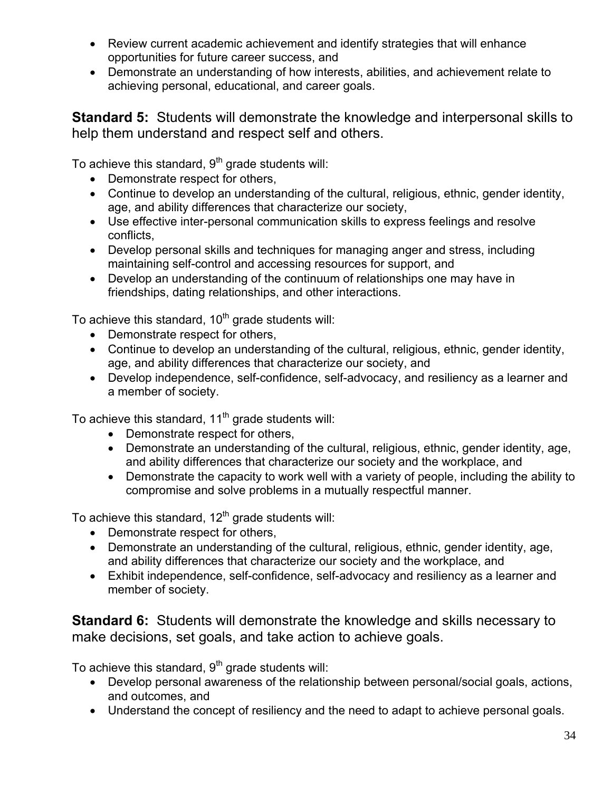- Review current academic achievement and identify strategies that will enhance opportunities for future career success, and
- Demonstrate an understanding of how interests, abilities, and achievement relate to achieving personal, educational, and career goals.

**Standard 5:** Students will demonstrate the knowledge and interpersonal skills to help them understand and respect self and others.

To achieve this standard,  $9<sup>th</sup>$  grade students will:

- Demonstrate respect for others,
- Continue to develop an understanding of the cultural, religious, ethnic, gender identity, age, and ability differences that characterize our society,
- Use effective inter-personal communication skills to express feelings and resolve conflicts,
- Develop personal skills and techniques for managing anger and stress, including maintaining self-control and accessing resources for support, and
- Develop an understanding of the continuum of relationships one may have in friendships, dating relationships, and other interactions.

To achieve this standard,  $10<sup>th</sup>$  grade students will:

- Demonstrate respect for others,
- Continue to develop an understanding of the cultural, religious, ethnic, gender identity, age, and ability differences that characterize our society, and
- Develop independence, self-confidence, self-advocacy, and resiliency as a learner and a member of society.

To achieve this standard,  $11<sup>th</sup>$  grade students will:

- Demonstrate respect for others,
- Demonstrate an understanding of the cultural, religious, ethnic, gender identity, age, and ability differences that characterize our society and the workplace, and
- Demonstrate the capacity to work well with a variety of people, including the ability to compromise and solve problems in a mutually respectful manner.

To achieve this standard,  $12<sup>th</sup>$  grade students will:

- Demonstrate respect for others,
- Demonstrate an understanding of the cultural, religious, ethnic, gender identity, age, and ability differences that characterize our society and the workplace, and
- Exhibit independence, self-confidence, self-advocacy and resiliency as a learner and member of society.

**Standard 6:** Students will demonstrate the knowledge and skills necessary to make decisions, set goals, and take action to achieve goals.

To achieve this standard,  $9<sup>th</sup>$  grade students will:

- Develop personal awareness of the relationship between personal/social goals, actions, and outcomes, and
- Understand the concept of resiliency and the need to adapt to achieve personal goals.